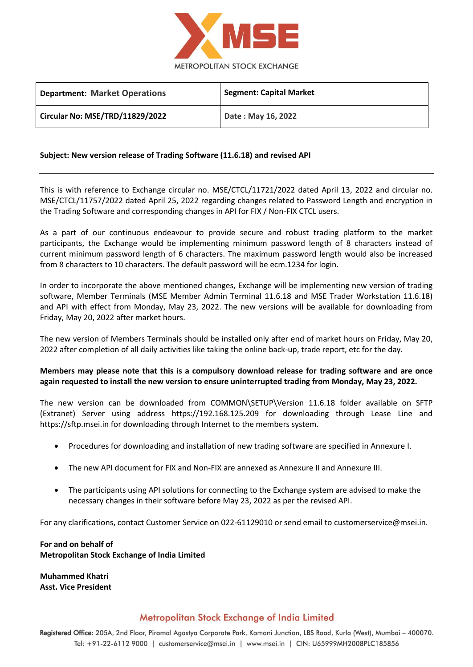

| <b>Department: Market Operations</b> | <b>Segment: Capital Market</b> |
|--------------------------------------|--------------------------------|
| Circular No: MSE/TRD/11829/2022      | Date: May 16, 2022             |

### **Subject: New version release of Trading Software (11.6.18) and revised API**

This is with reference to Exchange circular no. MSE/CTCL/11721/2022 dated April 13, 2022 and circular no. MSE/CTCL/11757/2022 dated April 25, 2022 regarding changes related to Password Length and encryption in the Trading Software and corresponding changes in API for FIX / Non-FIX CTCL users.

As a part of our continuous endeavour to provide secure and robust trading platform to the market participants, the Exchange would be implementing minimum password length of 8 characters instead of current minimum password length of 6 characters. The maximum password length would also be increased from 8 characters to 10 characters. The default password will be ecm.1234 for login.

In order to incorporate the above mentioned changes, Exchange will be implementing new version of trading software, Member Terminals (MSE Member Admin Terminal 11.6.18 and MSE Trader Workstation 11.6.18) and API with effect from Monday, May 23, 2022. The new versions will be available for downloading from Friday, May 20, 2022 after market hours.

The new version of Members Terminals should be installed only after end of market hours on Friday, May 20, 2022 after completion of all daily activities like taking the online back-up, trade report, etc for the day.

## **Members may please note that this is a compulsory download release for trading software and are once again requested to install the new version to ensure uninterrupted trading from Monday, May 23, 2022.**

The new version can be downloaded from COMMON\SETUP\Version 11.6.18 folder available on SFTP (Extranet) Server using address https://192.168.125.209 for downloading through Lease Line and https://sftp.msei.in for downloading through Internet to the members system.

- Procedures for downloading and installation of new trading software are specified in Annexure I.
- The new API document for FIX and Non-FIX are annexed as Annexure II and Annexure III.
- The participants using API solutions for connecting to the Exchange system are advised to make the necessary changes in their software before May 23, 2022 as per the revised API.

For any clarifications, contact Customer Service on 022-61129010 or send email t[o customerservice@msei.in.](mailto:customerservice@msei.in)

**For and on behalf of Metropolitan Stock Exchange of India Limited**

**Muhammed Khatri Asst. Vice President** 

# Metropolitan Stock Exchange of India Limited